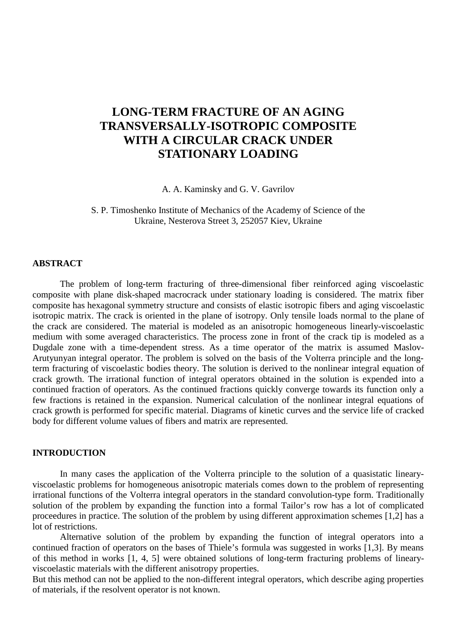# **LONG-TERM FRACTURE OF AN AGING TRANSVERSALLY-ISOTROPIC COMPOSITE WITH A CIRCULAR CRACK UNDER STATIONARY LOADING**

A. A. Kaminsky and G. V. Gavrilov

S. P. Timoshenko Institute of Mechanics of the Academy of Science of the Ukraine, Nesterova Street 3, 252057 Kiev, Ukraine

## **ABSTRACT**

The problem of long-term fracturing of three-dimensional fiber reinforced aging viscoelastic composite with plane disk-shaped macrocrack under stationary loading is considered. The matrix fiber composite has hexagonal symmetry structure and consists of elastic isotropic fibers and aging viscoelastic isotropic matrix. The crack is oriented in the plane of isotropy. Only tensile loads normal to the plane of the crack are considered. The material is modeled as an anisotropic homogeneous linearly-viscoelastic medium with some averaged characteristics. The process zone in front of the crack tip is modeled as a Dugdale zone with a time-dependent stress. As a time operator of the matrix is assumed Maslov-Arutyunyan integral operator. The problem is solved on the basis of the Volterra principle and the longterm fracturing of viscoelastic bodies theory. The solution is derived to the nonlinear integral equation of crack growth. The irrational function of integral operators obtained in the solution is expended into a continued fraction of operators. As the continued fractions quickly converge towards its function only a few fractions is retained in the expansion. Numerical calculation of the nonlinear integral equations of crack growth is performed for specific material. Diagrams of kinetic curves and the service life of cracked body for different volume values of fibers and matrix are represented.

## **INTRODUCTION**

In many cases the application of the Volterra principle to the solution of a quasistatic linearyviscoelastic problems for homogeneous anisotropic materials comes down to the problem of representing irrational functions of the Volterra integral operators in the standard convolution-type form. Traditionally solution of the problem by expanding the function into a formal Tailor's row has a lot of complicated proceedures in practice. The solution of the problem by using different approximation schemes [1,2] has a lot of restrictions.

Alternative solution of the problem by expanding the function of integral operators into a continued fraction of operators on the bases of Thiele's formula was suggested in works [1,3]. By means of this method in works [1, 4, 5] were obtained solutions of long-term fracturing problems of linearyviscoelastic materials with the different anisotropy properties.

But this method can not be applied to the non-different integral operators, which describe aging properties of materials, if the resolvent operator is not known.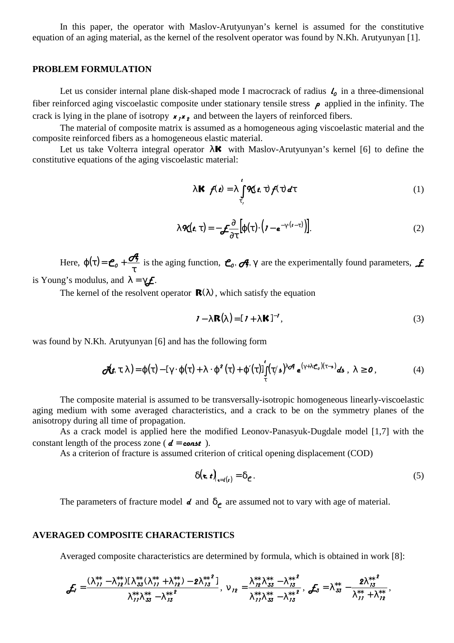In this paper, the operator with Maslov-Arutyunyan's kernel is assumed for the constitutive equation of an aging material, as the kernel of the resolvent operator was found by N.Kh. Arutyunyan [1].

#### **PROBLEM FORMULATION**

Let us consider internal plane disk-shaped mode I macrocrack of radius  $\ell_0$  in a three-dimensional fiber reinforced aging viscoelastic composite under stationary tensile stress  $\rho$  applied in the infinity. The crack is lying in the plane of isotropy  $x, x$ , and between the layers of reinforced fibers.

The material of composite matrix is assumed as a homogeneous aging viscoelastic material and the composite reinforced fibers as a homogeneous elastic material.

Let us take Volterra integral operator  $\lambda \mathbf{K}$  with Maslov-Arutyunyan's kernel [6] to define the constitutive equations of the aging viscoelastic material:

$$
\lambda \mathbf{K} \ f(\mathbf{t}) = \lambda \int_{\tau}^{\mathbf{t}} \mathbf{R}(\mathbf{t}, \tau) f(\tau) d\tau
$$
 (1)

$$
\lambda \mathbf{R}(\mathbf{t}, \tau) = -\mathbf{L} \frac{\partial}{\partial \tau} \left[ \varphi(\tau) \cdot \left( \mathbf{I} - \mathbf{e}^{-\gamma \cdot (\mathbf{t} - \tau)} \right) \right]. \tag{2}
$$

Here,  $\varphi(\tau)$ τ  $\varphi(\tau) = \mathcal{C}_o + \frac{\sigma}{\tau}$  is the aging function,  $\mathcal{C}_o$ ,  $\sigma$ ,  $\gamma$  are the experimentally found parameters,  $\mathcal{L}$ is Young's modulus, and  $\lambda = \gamma \mathbf{f}$ .

The kernel of the resolvent operator  $\mathbf{R}(\lambda)$ , which satisfy the equation

$$
\mathbf{I} - \lambda \mathbf{R}(\lambda) = [\mathbf{I} + \lambda \mathbf{K}]^{-1},\tag{3}
$$

was found by N.Kh. Arutyunyan [6] and has the following form

$$
\mathbf{F}(\mathbf{r},\tau,\lambda) = \varphi(\tau) - [\gamma \cdot \varphi(\tau) + \lambda \cdot \varphi^2(\tau) + \varphi'(\tau)] \int_{\tau}^{\tau} (\tau/\mathbf{r})^{\lambda \cdot \sigma} e^{(\gamma + \lambda \cdot \mathbf{r}_o)(\tau - \mathbf{r})} d\mathbf{r}, \lambda \geq 0,
$$
\n(4)

The composite material is assumed to be transversally-isotropic homogeneous linearly-viscoelastic aging medium with some averaged characteristics, and a crack to be on the symmetry planes of the anisotropy during all time of propagation.

As a crack model is applied here the modified Leonov-Panasyuk-Dugdale model [1,7] with the constant length of the process zone ( $d = const$ ).

As a criterion of fracture is assumed criterion of critical opening displacement (COD)

$$
\delta(\mathbf{z},t)|_{\mathbf{z}=(t)} = \delta_{\mathbf{C}}.\tag{5}
$$

The parameters of fracture model  $d$  and  $\delta_e$  are assumed not to vary with age of material.

## **AVERAGED COMPOSITE CHARACTERISTICS**

Averaged composite characteristics are determined by formula, which is obtained in work [8]:

$$
\boldsymbol{f}_{7} = \frac{(\lambda_{11}^{**} - \lambda_{12}^{**}) \left[\lambda_{33}^{**} (\lambda_{11}^{**} + \lambda_{12}^{**}) - 2 \lambda_{13}^{**} \right]}{\lambda_{11}^{**} \lambda_{33}^{**} - \lambda_{13}^{**} }, \ \ \nu_{12} = \frac{\lambda_{12}^{**} \lambda_{33}^{**} - \lambda_{13}^{**} \right]}{\lambda_{11}^{**} \lambda_{33}^{**} - \lambda_{13}^{**} }, \ \boldsymbol{f}_{7} = \lambda_{33}^{**} - \frac{2 \lambda_{13}^{**} \right]}{\lambda_{11}^{**} + \lambda_{12}^{**}},
$$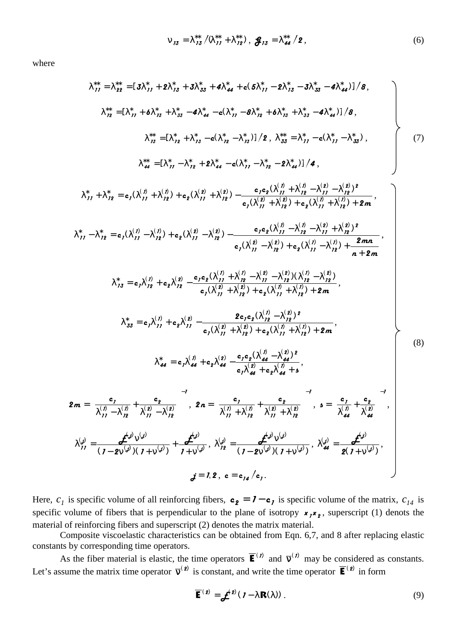$$
V_{13} = \lambda_{13}^{**} / \lambda_{11}^{**} + \lambda_{12}^{**} , \, \, \mathbf{g}_{13} = \lambda_{44}^{**} / 2 , \tag{6}
$$

where

$$
\lambda_{11}^{*} = \lambda_{22}^{*+} = [3\lambda_{11}^{*} + 2\lambda_{13}^{*} + 3\lambda_{33}^{*} + 4\lambda_{44}^{*} + 6(5\lambda_{11}^{*} - 2\lambda_{13}^{*} - 3\lambda_{33}^{*} - 4\lambda_{44}^{*}]/8,
$$
\n
$$
\lambda_{12}^{*+} = [\lambda_{11}^{*} + 6\lambda_{13}^{*} + \lambda_{13}^{*} - 6\lambda_{41}^{*} - 6(\lambda_{11}^{*} - 6\lambda_{11}^{*} + 6\lambda_{13}^{*} + \lambda_{33}^{*} - 4\lambda_{44}^{*})]/8,
$$
\n
$$
\lambda_{13}^{*+} = [\lambda_{12}^{*} + \lambda_{13}^{*} - 6(\lambda_{12}^{*} - \lambda_{13}^{*})]/2, \lambda_{33}^{*} = \lambda_{11}^{*} - 6(\lambda_{11}^{*} - \lambda_{13}^{*}).
$$
\n
$$
\lambda_{14}^{*+} = [\lambda_{11}^{*} - \lambda_{12}^{*} + 2\lambda_{14}^{*} - 6(\lambda_{11}^{*} - \lambda_{12}^{*} - 2\lambda_{14}^{*})]/4,
$$
\n
$$
\lambda_{11}^{*} + \lambda_{12}^{*} = e_{1}(\lambda_{11}^{(1)} + \lambda_{11}^{(1)}) + e_{2}(\lambda_{11}^{(2)} + \lambda_{12}^{(2)}) - \frac{e_{1}e_{1}(\lambda_{11}^{(1)} + \lambda_{12}^{(1)} - \lambda_{11}^{(1)} - \lambda_{12}^{(1)}) + 2}{e_{1}(\lambda_{11}^{(1)} + \lambda_{12}^{(1)} + \lambda_{12}^{(1)}) + 2}
$$
\n
$$
\lambda_{11}^{*} - \lambda_{12}^{*} = e_{1}(\lambda_{11}^{(1)} - \lambda_{12}^{(1)}) + e_{2}(\lambda_{11}^{(2)} - \lambda_{12}^{(2)}) + e_{2}(\lambda_{11}^{(1)} - \lambda_{12}^{(1)}) + 2
$$
\n
$$
\lambda_{13}^{*} = e_{1}(\lambda_{11}^{(1)} - \lambda_{1
$$

Here,  $c_1$  is specific volume of all reinforcing fibers,  $\mathbf{c}_2 = \mathbf{1} - \mathbf{c}_1$  is specific volume of the matrix,  $c_{14}$  is specific volume of fibers that is perpendicular to the plane of isotropy  $x_1x_2$ , superscript (1) denots the material of reinforcing fibers and superscript (2) denotes the matrix material.

Composite viscoelastic characteristics can be obtained from Eqn. 6,7, and 8 after replacing elastic constants by corresponding time operators.

As the fiber material is elastic, the time operators  $\overline{\mathbf{E}}^{(n)}$  and  $\overline{\mathbf{v}}^{(n)}$  may be considered as constants. Let's assume the matrix time operator  $\overline{v}^{(2)}$  is constant, and write the time operator  $\overline{E}^{(2)}$  in form

$$
\overline{\mathbf{E}}^{(2)} = \mathbf{\mathcal{L}}^{(2)}(I - \lambda \mathbf{R}(\lambda)).
$$
 (9)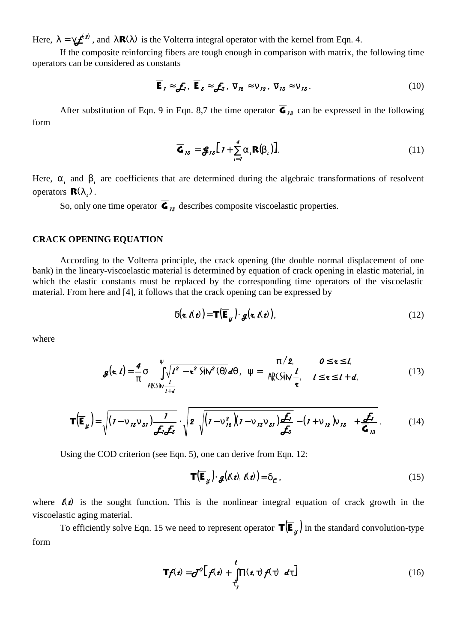Here,  $\lambda = \gamma f^{(2)}$ , and  $\lambda \mathbf{R}(\lambda)$  is the Volterra integral operator with the kernel from Eqn. 4.

If the composite reinforcing fibers are tough enough in comparison with matrix, the following time operators can be considered as constants

$$
\overline{\mathbf{E}}_j \approx \mathbf{E}_j, \ \overline{\mathbf{E}}_3 \approx \mathbf{E}_3, \ \overline{\mathbf{V}}_{12} \approx \mathbf{V}_{12}, \ \overline{\mathbf{V}}_{13} \approx \mathbf{V}_{13}.
$$
 (10)

After substitution of Eqn. 9 in Eqn. 8,7 the time operator  $\overline{\mathbf{G}}_{13}$  can be expressed in the following form

$$
\overline{\mathbf{G}}_{13} = \mathbf{g}_{13} \big[ \mathbf{I} + \sum_{i=1}^{4} \alpha_i \mathbf{R}(\beta_i) \big]. \tag{11}
$$

Here,  $\alpha$ , and  $\beta$ , are coefficients that are determined during the algebraic transformations of resolvent operators  $\mathbf{R}(\lambda)$ .

So, only one time operator  $\overline{\mathbf{G}}_{13}$  describes composite viscoelastic properties.

## **CRACK OPENING EQUATION**

According to the Volterra principle, the crack opening (the double normal displacement of one bank) in the lineary-viscoelastic material is determined by equation of crack opening in elastic material, in which the elastic constants must be replaced by the corresponding time operators of the viscoelastic material. From here and [4], it follows that the crack opening can be expressed by

$$
\delta(\mathbf{z}, \boldsymbol{\ell}(\boldsymbol{t})) = \mathbf{T}(\overline{\mathbf{E}}_{\boldsymbol{y}}) \cdot \boldsymbol{g}(\mathbf{z}, \boldsymbol{\ell}(\boldsymbol{t})),
$$
\n(12)

where

$$
g(\mathbf{z},t) = \frac{4}{\pi} \sigma \int_{\mathbb{R} \setminus \mathsf{S}\mid \mathsf{N}}^{\mathsf{V}} \sqrt{t^2 - \mathbf{z}^2 \mathsf{S}\mathsf{N}^2(\theta)} \, d\theta \,, \quad \mathsf{V} = \begin{cases} \pi/2, & 0 \leq \mathbf{z} \leq t, \\ \mathsf{A}\mathsf{R} \mathsf{S}\mathsf{N}\mathsf{N} \frac{t}{\mathbf{z}}, & t \leq \mathbf{z} \leq t + d, \\ \mathsf{A}\mathsf{R} \mathsf{S}\mathsf{N}\mathsf{N} \frac{t}{\mathbf{z}}, & t \leq \mathbf{z} \leq t + d. \end{cases} \tag{13}
$$

$$
\mathbf{T}(\overline{\mathbf{E}}_{\mathcal{Y}})=\sqrt{\left(\mathbf{I}-\mathbf{V}_{13}\mathbf{V}_{31}\right)\frac{\mathbf{I}}{\mathbf{\mathcal{L}}_{1}\mathbf{\mathcal{L}}_{3}}}\cdot\sqrt{\mathbf{2}\left(\sqrt{\left(\mathbf{I}-\mathbf{V}_{12}^{2}\right)\left(\mathbf{I}-\mathbf{V}_{13}\mathbf{V}_{31}\right)\frac{\mathbf{\mathcal{L}}_{1}}{\mathbf{\mathcal{L}}_{3}}}-\left(\mathbf{I}+\mathbf{V}_{12}\right)\mathbf{V}_{13}\right)+\frac{\mathbf{\mathcal{L}}_{1}}{\mathbf{G}_{13}}}.
$$
 (14)

Using the COD criterion (see Eqn. 5), one can derive from Eqn. 12:

$$
\mathbf{T}(\overline{\mathbf{E}}_{\mathbf{y}}) \cdot \mathbf{g}(\mathbf{\Lambda} \mathbf{z}), \mathbf{\Lambda} \mathbf{z}) = \delta_{\mathbf{c}},
$$
 (15)

where  $\mathbf{A}(\mathbf{t})$  is the sought function. This is the nonlinear integral equation of crack growth in the viscoelastic aging material.

To efficiently solve Eqn. 15 we need to represent operator  $\mathbf{T}(\overline{\mathbf{E}}_{\underline{u}})$  in the standard convolution-type form

$$
\mathbf{T}f(\mathbf{t}) = \mathbf{J}^0 \Big[ f(\mathbf{t}) + \int_{\tau}^{\mathbf{t}} \Pi(\mathbf{t}, \tau) f(\tau) \ d\tau \Big]
$$
 (16)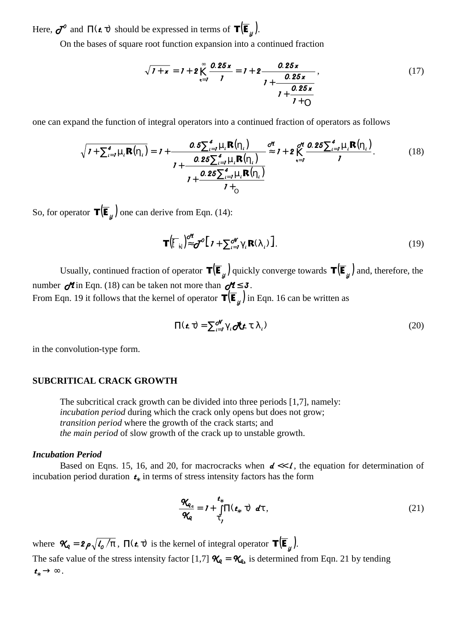Here,  $\sigma^{\circ}$  and  $\Pi(\epsilon, \tau)$  should be expressed in terms of  $\mathbf{T}(\overline{\mathbf{E}}_{\mu})$ .

On the bases of square root function expansion into a continued fraction

$$
\sqrt{1+x} = 1 + 2 \sum_{k=1}^{\infty} \frac{0.25x}{1} = 1 + 2 \frac{0.25x}{1 + \frac{0.25x}{1 + 0}},
$$
\n(17)

one can expand the function of integral operators into a continued fraction of operators as follows

$$
\sqrt{I + \sum_{i=1}^{4} \mu_i \mathbf{R}(\eta_i)} = I + \frac{0.5 \sum_{i=1}^{4} \mu_i \mathbf{R}(\eta_i)}{I + \frac{0.25 \sum_{i=1}^{4} \mu_i \mathbf{R}(\eta_i)}{I + \frac{0.25 \sum_{i=1}^{4} \mu_i \mathbf{R}(\eta_i)}{I + \frac{0.25 \sum_{i=1}^{4} \mu_i \mathbf{R}(\eta_i)}{I + \rho_i}}}
$$
(18)

So, for operator  $\mathbf{T}(\overline{\mathbf{E}}_{u})$  one can derive from Eqn. (14):

$$
\mathbf{T}\big(\overline{\big[\!\!\lceil}_{\dot{N}}\big)\!\!\big]_{\infty}^{\alpha\beta}\mathbf{C}^{\beta}\big[\mathbf{1}+\sum_{i=1}^{N}\!\gamma_{i}\mathbf{R}(\lambda_{i})\big].\tag{19}
$$

Usually, continued fraction of operator  $\mathbf{T}(\overline{\mathbf{E}}_u)$  quickly converge towards  $\mathbf{T}(\overline{\mathbf{E}}_u)$  and, therefore, the number  $\partial$ in Eqn. (18) can be taken not more than  $\partial$ 1 ≤ 3. From Eqn. 19 it follows that the kernel of operator  $\mathbf{T}(\overline{\mathbf{E}}_{\underline{u}})$  in Eqn. 16 can be written as

$$
\Pi(\mathbf{t}, \tau) = \sum_{i=1}^{d'} \gamma_i \partial \mathbf{\hat{t}} \mathbf{t}, \tau, \lambda_i)
$$
 (20)

in the convolution-type form.

# **SUBCRITICAL CRACK GROWTH**

The subcritical crack growth can be divided into three periods [1,7], namely: *incubation period* during which the crack only opens but does not grow; *transition period* where the growth of the crack starts; and *the main period* of slow growth of the crack up to unstable growth.

#### *Incubation Period*

Based on Eqns. 15, 16, and 20, for macrocracks when  $d \ll l$ , the equation for determination of incubation period duration  $\boldsymbol{t}_k$  in terms of stress intensity factors has the form

$$
\frac{\mathbf{\mathcal{R}}_{q_{\rm c}}}{\mathbf{\mathcal{R}}_{q}} = \mathbf{I} + \int\limits_{\tau}^{\mathbf{t}_{*}} \Pi(\mathbf{t}_{*}, \tau) \ d\tau, \qquad (21)
$$

where  $\mathcal{R}_q = 2 \rho \sqrt{\frac{l_o}{\pi}}$ ,  $\Pi(\mathbf{r}, \tau)$  is the kernel of integral operator  $\mathbf{T}(\mathbf{\bar{E}}_u)$ . The safe value of the stress intensity factor [1,7]  $\mathcal{X}_q = \mathcal{X}_{q_s}$  is determined from Eqn. 21 by tending  $t_* \rightarrow \infty$  .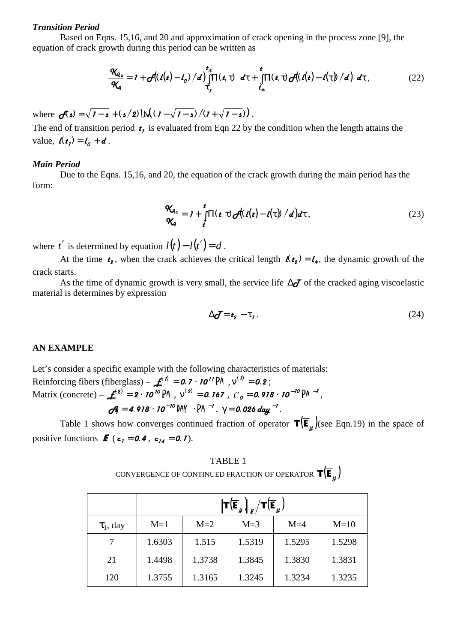#### *Transition Period*

Based on Eqns. 15,16, and 20 and approximation of crack opening in the process zone [9], the equation of crack growth during this period can be written as

$$
\frac{\mathcal{R}_{q_c}}{\mathcal{R}_q} = I + \mathcal{J}((\ell(t) - \ell_0) / d) \int\limits_{\tau_1}^{\tau_s} \Pi(\mathbf{t}, \tau) \ d\tau + \int\limits_{\tau_s}^{\tau} \Pi(\mathbf{t}, \tau) \mathcal{J}((\ell(t) - \ell(\tau))/d) \ d\tau \,, \tag{22}
$$

where  $\sigma(z) = \sqrt{1-z} + (z/2) \ln((1-\sqrt{1-z})/(1+\sqrt{1-z}))$ .

The end of transition period  $t_i$ , is evaluated from Eqn 22 by the condition when the length attains the value,  $\mathbf{l}(t_1) = \mathbf{l}_0 + \mathbf{d}$ .

## *Main Period*

Due to the Eqns. 15,16, and 20, the equation of the crack growth during the main period has the form:

$$
\frac{\mathcal{R}_{q_c}}{\mathcal{R}_q} = I + \int\limits_{t'}^{t} \Pi(t, \tau) \mathcal{J}(t(t) - t(\tau))/d \, d\tau, \qquad (23)
$$

where *t'* is determined by equation  $l(t) - l(t') = d$ .

At the time  $t_2$ , when the crack achieves the critical length  $\mathbf{A}_{t_2} = \mathbf{L}_k$ , the dynamic growth of the crack starts.

As the time of dynamic growth is very small, the service life  $\Delta$  $\sigma$  of the cracked aging viscoelastic material is determines by expression

$$
\Delta \boldsymbol{\mathcal{J}} = \boldsymbol{t}_2 - \boldsymbol{\tau}_1. \tag{24}
$$

# **AN EXAMPLE**

Let's consider a specific example with the following characteristics of materials: Reinforcing fibers (fiberglass) –  $\boldsymbol{f}^{(n)} = \boldsymbol{0} \cdot \boldsymbol{7} \cdot \boldsymbol{7} \boldsymbol{0}^{\prime \prime} \boldsymbol{P} \boldsymbol{A}$ ,  $v^{(n)} = \boldsymbol{0} \cdot \boldsymbol{2}$ ; Matrix (concrete) -  $\mathbf{\mathcal{L}}^{(2)} = 2 \cdot 70^{70} \text{ PA}$ ,  $v^{(2)} = 0.767$ ,  $C_0 = 0.978 \cdot 70^{-70} \text{ PA}^{-1}$ ,  $\sigma^2_7 = 4.918 \cdot 10^{-10}$  DAY  $\cdot$  PA  $^{-1}$ ,  $\gamma = 0.026$  day  $^{-1}$ .

Table 1 shows how converges continued fraction of operator  $\mathbf{T}(\mathbf{\overline{E}}_y)$  (see Eqn.19) in the space of positive functions  $\boldsymbol{E}$  (**c**<sub>1</sub> = **0.4**, **c**<sub>14</sub> = **0.1**).

TABLE 1 CONVERGENCE OF CONTINUED FRACTION OF OPERATOR  $\mathbf{T}(\overline{\mathbf{E}}_{ii})$ 

|                | $\left\  \mathbf{T}(\overline{\mathbf{E}}_{_{\mathcal{Y}}}\right)_{\boldsymbol{\ell}}/\mathbf{T}(\overline{\mathbf{E}}_{_{\mathcal{Y}}})$ |        |        |        |        |
|----------------|-------------------------------------------------------------------------------------------------------------------------------------------|--------|--------|--------|--------|
| $\tau_1$ , day | $M=1$                                                                                                                                     | $M=2$  | $M=3$  | $M=4$  | $M=10$ |
|                | 1.6303                                                                                                                                    | 1.515  | 1.5319 | 1.5295 | 1.5298 |
| 21             | 1.4498                                                                                                                                    | 1.3738 | 1.3845 | 1.3830 | 1.3831 |
| 120            | 1.3755                                                                                                                                    | 1.3165 | 1.3245 | 1.3234 | 1.3235 |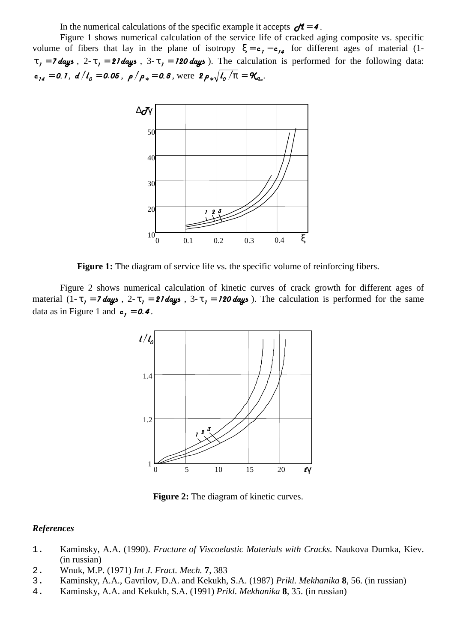In the numerical calculations of the specific example it accepts  $d = 4$ .

Figure 1 shows numerical calculation of the service life of cracked aging composite vs. specific volume of fibers that lay in the plane of isotropy  $\xi = \mathbf{c}_1 - \mathbf{c}_{14}$  for different ages of material (1- $\tau_1 = 7$  days,  $2-\tau_1 = 27$  days,  $3-\tau_1 = 120$  days). The calculation is performed for the following data:  $\mathbf{c}_{14} = 0.1$ ,  $d/l_0 = 0.05$ ,  $\rho/\rho_* = 0.8$ , were  $2\rho_*\sqrt{l_0/\pi} = \mathcal{R}_{q_c}$ .



**Figure 1:** The diagram of service life vs. the specific volume of reinforcing fibers.

Figure 2 shows numerical calculation of kinetic curves of crack growth for different ages of material  $(1-\tau_1 = 7$  days,  $2-\tau_1 = 27$  days,  $3-\tau_1 = 120$  days). The calculation is performed for the same data as in Figure 1 and  $c_1 = 0.4$ .



**Figure 2:** The diagram of kinetic curves.

## *References*

- 1. Kaminsky, A.A. (1990). *Fracture of Viscoelastic Materials with Cracks.* Naukova Dumka, Kiev. (in russian)
- 2. Wnuk, M.P. (1971) *Int J. Fract. Mech.* **7**, 383
- 3. Kaminsky, A.A., Gavrilov, D.A. and Kekukh, S.A. (1987) *Prikl. Mekhanika* **8**, 56. (in russian)
- 4. Kaminsky, A.A. and Kekukh, S.A. (1991) *Prikl. Mekhanika* **8**, 35. (in russian)